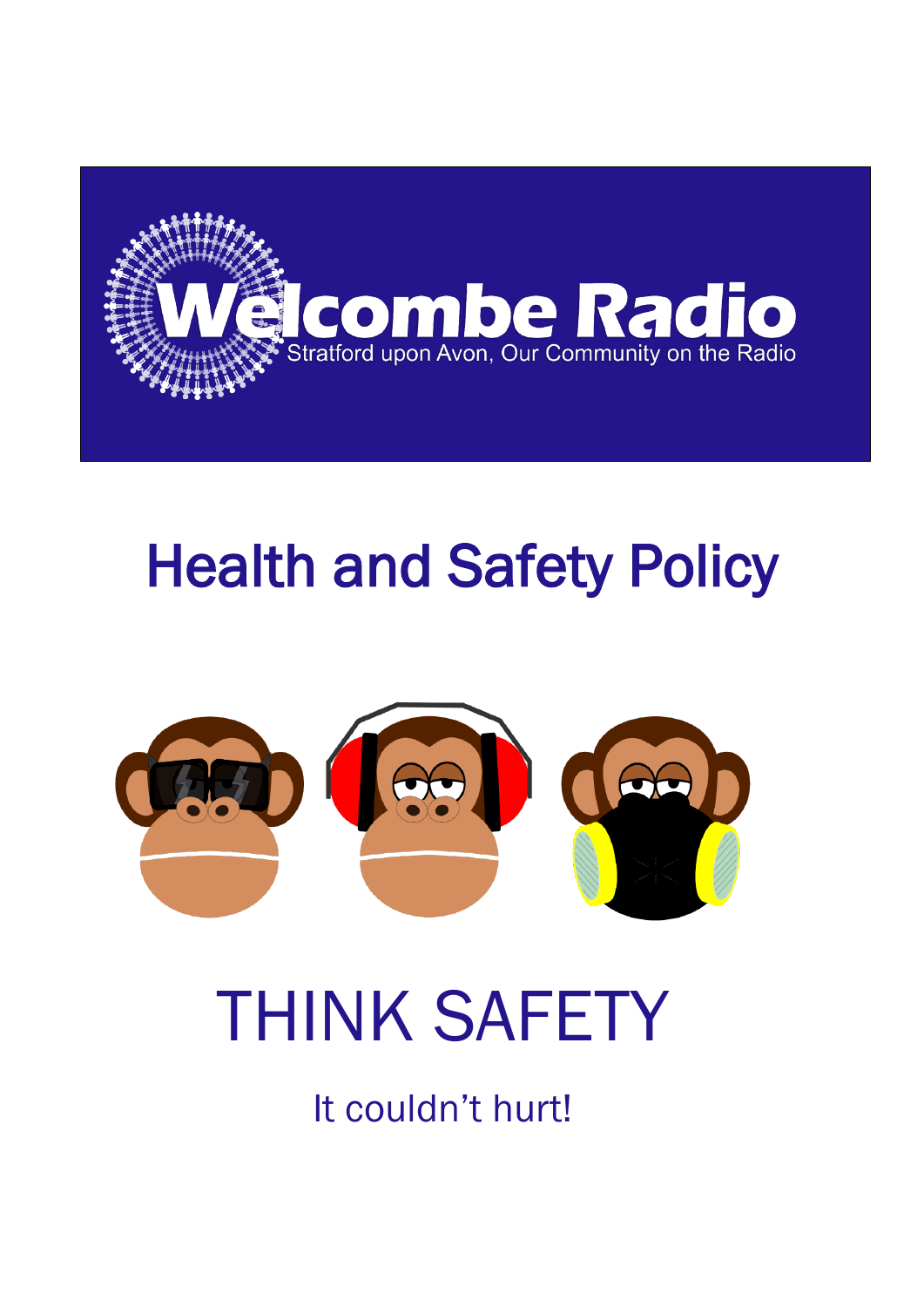

# Health and Safety Policy



# **THINK SAFETY**

It couldn't hurt!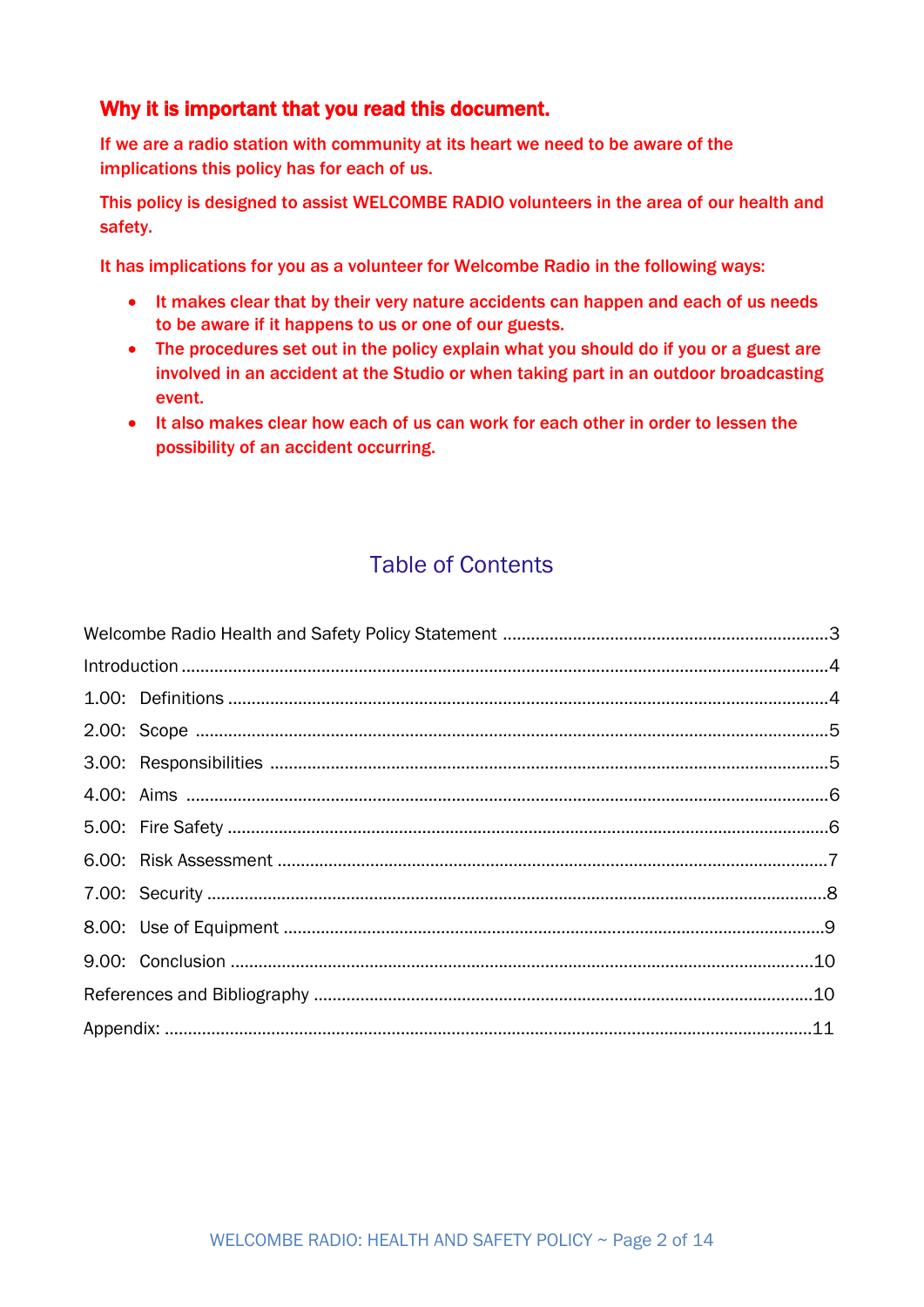# Why it is important that you read this document.

If we are a radio station with community at its heart we need to be aware of the implications this policy has for each of us.

This policy is designed to assist WELCOMBE RADIO volunteers in the area of our health and safety.

It has implications for you as a volunteer for Welcombe Radio in the following ways:

- It makes clear that by their very nature accidents can happen and each of us needs to be aware if it happens to us or one of our guests.
- The procedures set out in the policy explain what you should do if you or a guest are involved in an accident at the Studio or when taking part in an outdoor broadcasting event.
- It also makes clear how each of us can work for each other in order to lessen the possibility of an accident occurring.

# Table of Contents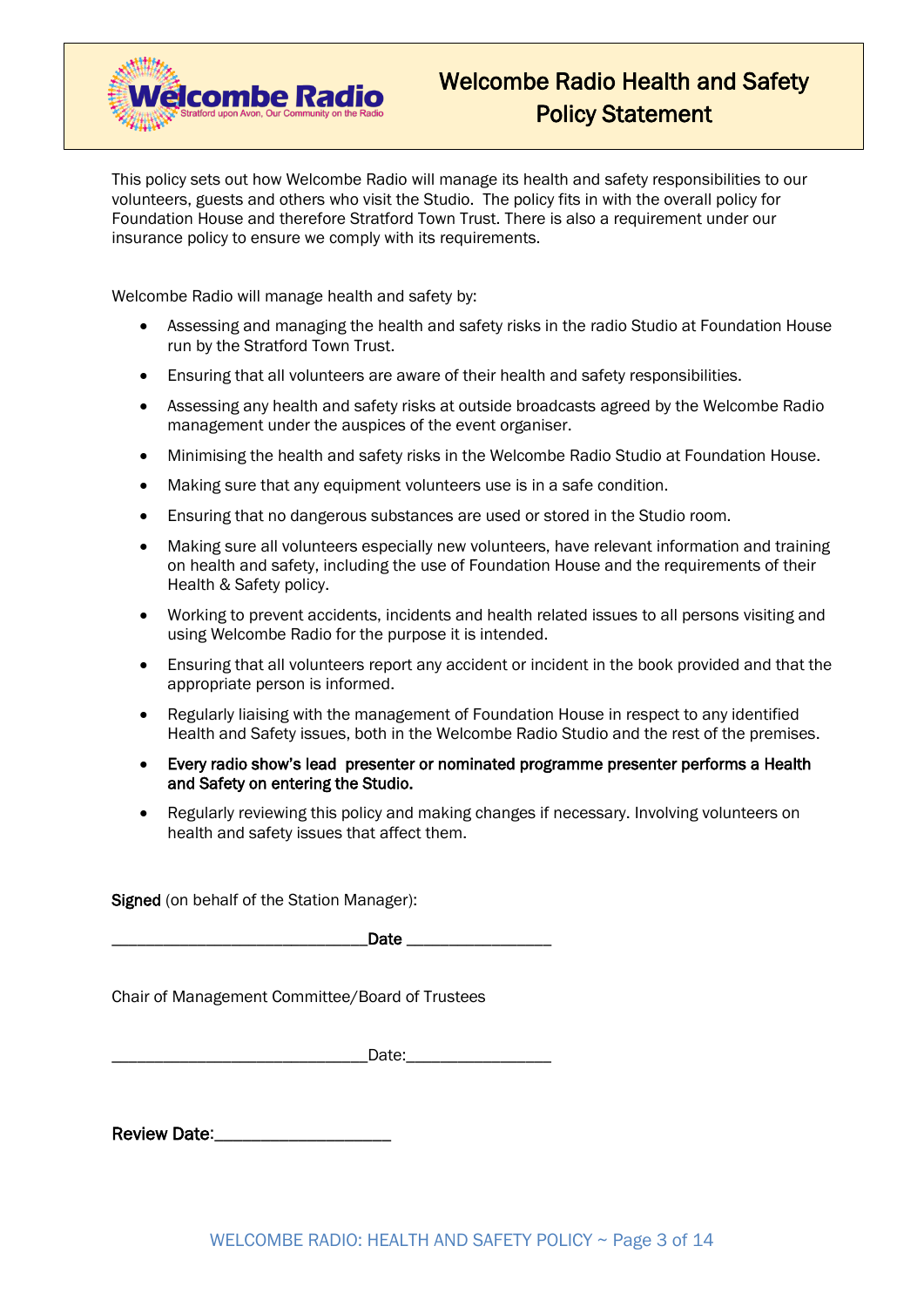

This policy sets out how Welcombe Radio will manage its health and safety responsibilities to our volunteers, guests and others who visit the Studio. The policy fits in with the overall policy for Foundation House and therefore Stratford Town Trust. There is also a requirement under our insurance policy to ensure we comply with its requirements.

Welcombe Radio will manage health and safety by:

- Assessing and managing the health and safety risks in the radio Studio at Foundation House run by the Stratford Town Trust.
- Ensuring that all volunteers are aware of their health and safety responsibilities.
- Assessing any health and safety risks at outside broadcasts agreed by the Welcombe Radio management under the auspices of the event organiser.
- Minimising the health and safety risks in the Welcombe Radio Studio at Foundation House.
- Making sure that any equipment volunteers use is in a safe condition.
- Ensuring that no dangerous substances are used or stored in the Studio room.
- Making sure all volunteers especially new volunteers, have relevant information and training on health and safety, including the use of Foundation House and the requirements of their Health & Safety policy.
- Working to prevent accidents, incidents and health related issues to all persons visiting and using Welcombe Radio for the purpose it is intended.
- Ensuring that all volunteers report any accident or incident in the book provided and that the appropriate person is informed.
- Regularly liaising with the management of Foundation House in respect to any identified Health and Safety issues, both in the Welcombe Radio Studio and the rest of the premises.
- Every radio show's lead presenter or nominated programme presenter performs a Health and Safety on entering the Studio.
- Regularly reviewing this policy and making changes if necessary. Involving volunteers on health and safety issues that affect them.

Signed (on behalf of the Station Manager):

\_\_\_\_\_\_\_\_\_\_\_\_\_\_\_\_\_\_\_\_\_\_\_\_\_\_\_\_\_\_Date \_\_\_\_\_\_\_\_\_\_\_\_\_\_\_\_\_

Chair of Management Committee/Board of Trustees

Date:

Review Date: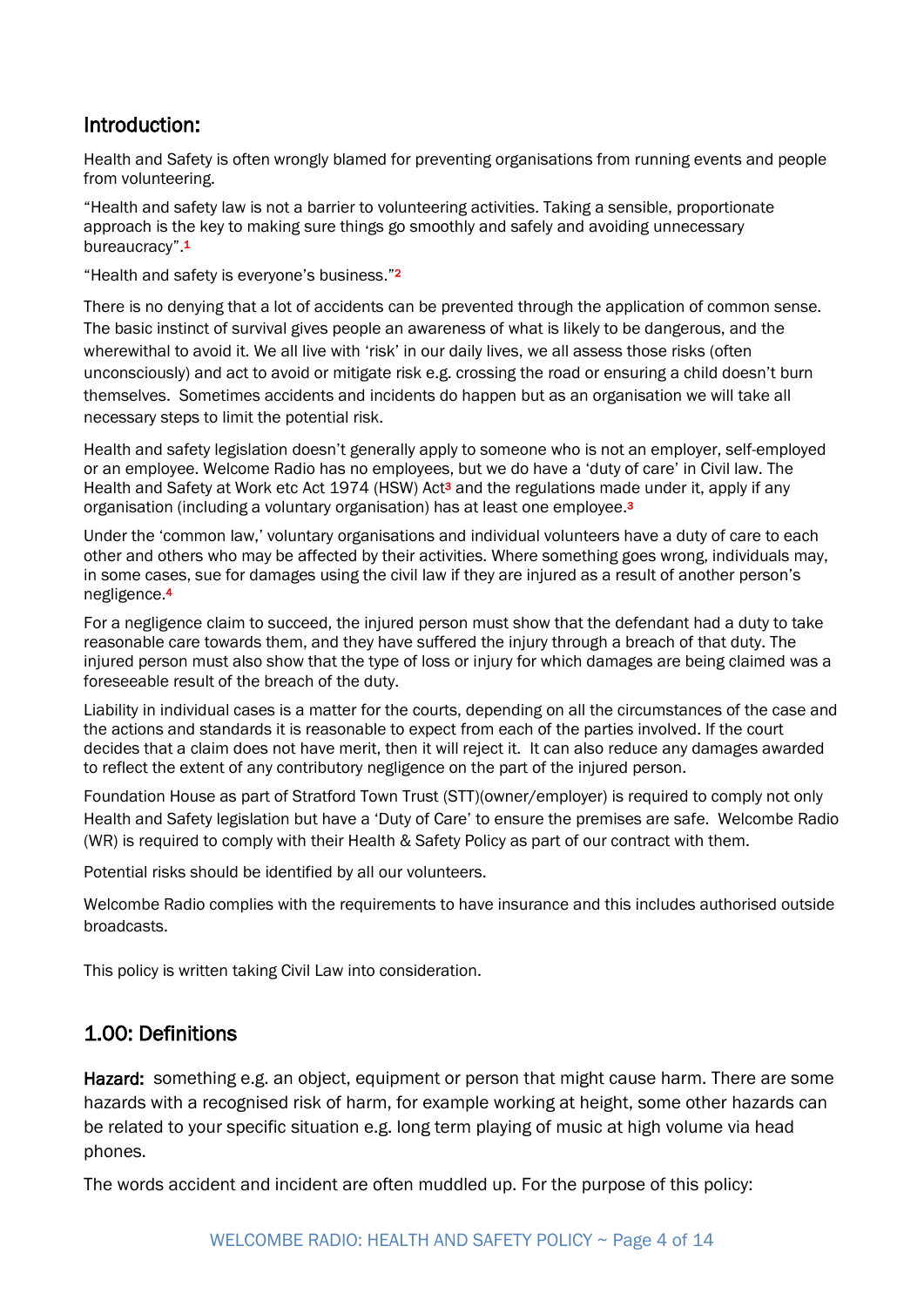# Introduction:

Health and Safety is often wrongly blamed for preventing organisations from running events and people from volunteering.

"Health and safety law is not a barrier to volunteering activities. Taking a sensible, proportionate approach is the key to making sure things go smoothly and safely and avoiding unnecessary bureaucracy".<sup>1</sup>

"Health and safety is everyone's business."<sup>2</sup>

There is no denying that a lot of accidents can be prevented through the application of common sense. The basic instinct of survival gives people an awareness of what is likely to be dangerous, and the wherewithal to avoid it. We all live with 'risk' in our daily lives, we all assess those risks (often unconsciously) and act to avoid or mitigate risk e.g. crossing the road or ensuring a child doesn't burn themselves. Sometimes accidents and incidents do happen but as an organisation we will take all necessary steps to limit the potential risk.

Health and safety legislation doesn't generally apply to someone who is not an employer, self-employed or an employee. Welcome Radio has no employees, but we do have a 'duty of care' in Civil law. The Health and Safety at Work etc Act 1974 (HSW) Act<sup>3</sup> and the regulations made under it, apply if any organisation (including a voluntary organisation) has at least one employee.<sup>3</sup>

Under the 'common law,' voluntary organisations and individual volunteers have a duty of care to each other and others who may be affected by their activities. Where something goes wrong, individuals may, in some cases, sue for damages using the civil law if they are injured as a result of another person's negligence. 4

For a negligence claim to succeed, the injured person must show that the defendant had a duty to take reasonable care towards them, and they have suffered the injury through a breach of that duty. The injured person must also show that the type of loss or injury for which damages are being claimed was a foreseeable result of the breach of the duty.

Liability in individual cases is a matter for the courts, depending on all the circumstances of the case and the actions and standards it is reasonable to expect from each of the parties involved. If the court decides that a claim does not have merit, then it will reject it. It can also reduce any damages awarded to reflect the extent of any contributory negligence on the part of the injured person.

Foundation House as part of Stratford Town Trust (STT)(owner/employer) is required to comply not only Health and Safety legislation but have a 'Duty of Care' to ensure the premises are safe. Welcombe Radio (WR) is required to comply with their Health & Safety Policy as part of our contract with them.

Potential risks should be identified by all our volunteers.

Welcombe Radio complies with the requirements to have insurance and this includes authorised outside broadcasts.

This policy is written taking Civil Law into consideration.

# 1.00: Definitions

Hazard: something e.g. an object, equipment or person that might cause harm. There are some hazards with a recognised risk of harm, for example working at height, some other hazards can be related to your specific situation e.g. long term playing of music at high volume via head phones.

The words accident and incident are often muddled up. For the purpose of this policy: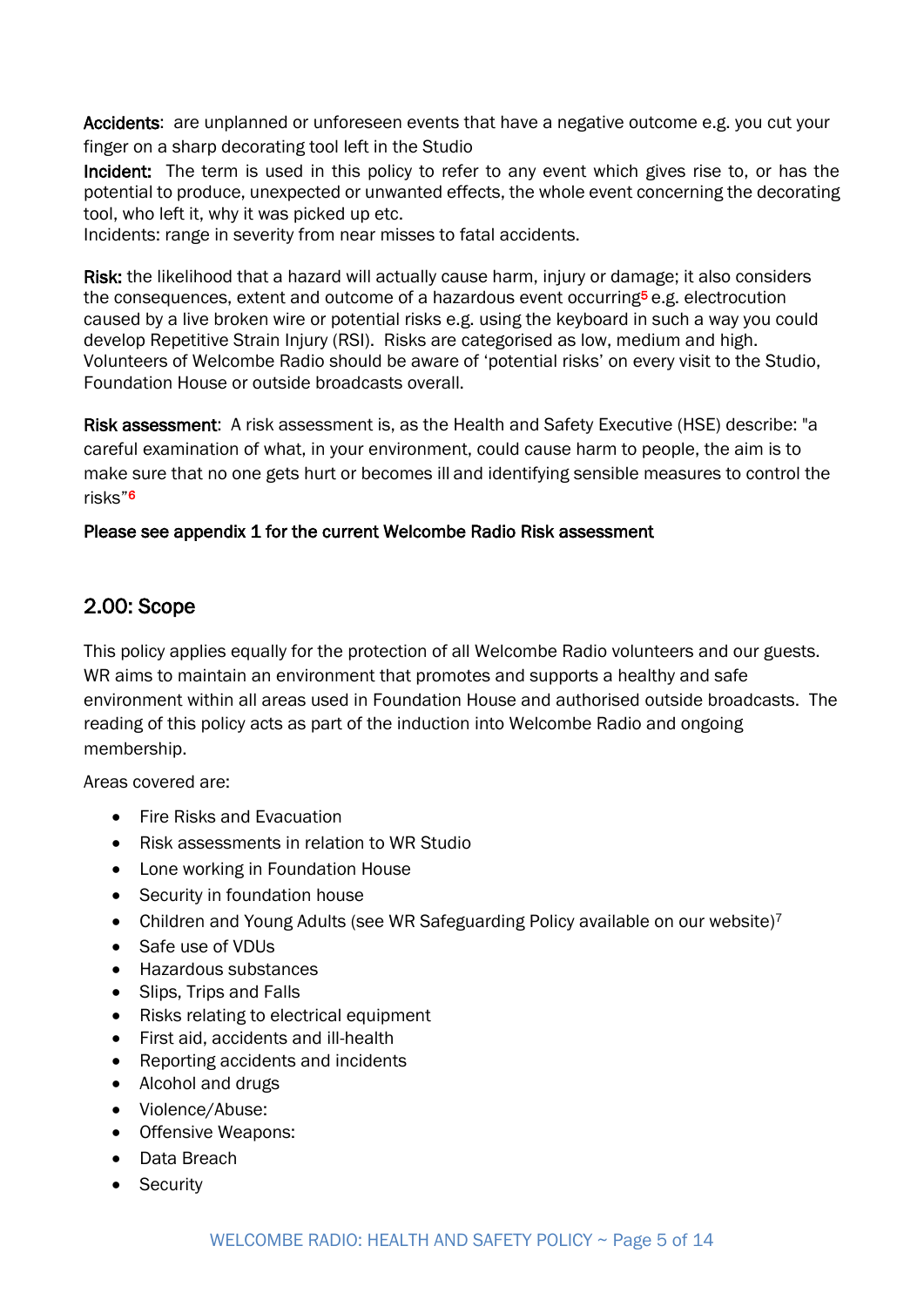Accidents: are unplanned or unforeseen events that have a negative outcome e.g. you cut your finger on a sharp decorating tool left in the Studio

Incident: The term is used in this policy to refer to any event which gives rise to, or has the potential to produce, unexpected or unwanted effects, the whole event concerning the decorating tool, who left it, why it was picked up etc.

Incidents: range in severity from near misses to fatal accidents.

Risk: the likelihood that a hazard will actually cause harm, injury or damage; it also considers the consequences, extent and outcome of a hazardous event occurring<sup>5</sup> e.g. electrocution caused by a live broken wire or potential risks e.g. using the keyboard in such a way you could develop Repetitive Strain Injury (RSI). Risks are categorised as low, medium and high. Volunteers of Welcombe Radio should be aware of 'potential risks' on every visit to the Studio, Foundation House or outside broadcasts overall.

Risk assessment: A risk assessment is, as the Health and Safety Executive (HSE) describe: "a careful examination of what, in your environment, could cause harm to people, the aim is to make sure that no one gets hurt or becomes ill and identifying sensible measures to control the risks" 6

#### Please see appendix 1 for the current Welcombe Radio Risk assessment

## 2.00: Scope

This policy applies equally for the protection of all Welcombe Radio volunteers and our guests. WR aims to maintain an environment that promotes and supports a healthy and safe environment within all areas used in Foundation House and authorised outside broadcasts. The reading of this policy acts as part of the induction into Welcombe Radio and ongoing membership.

Areas covered are:

- Fire Risks and Evacuation
- Risk assessments in relation to WR Studio
- Lone working in Foundation House
- Security in foundation house
- Children and Young Adults (see WR Safeguarding Policy available on our website)<sup>7</sup>
- Safe use of VDUs
- Hazardous substances
- Slips, Trips and Falls
- Risks relating to electrical equipment
- First aid, accidents and ill-health
- Reporting accidents and incidents
- Alcohol and drugs
- Violence/Abuse:
- Offensive Weapons:
- Data Breach
- Security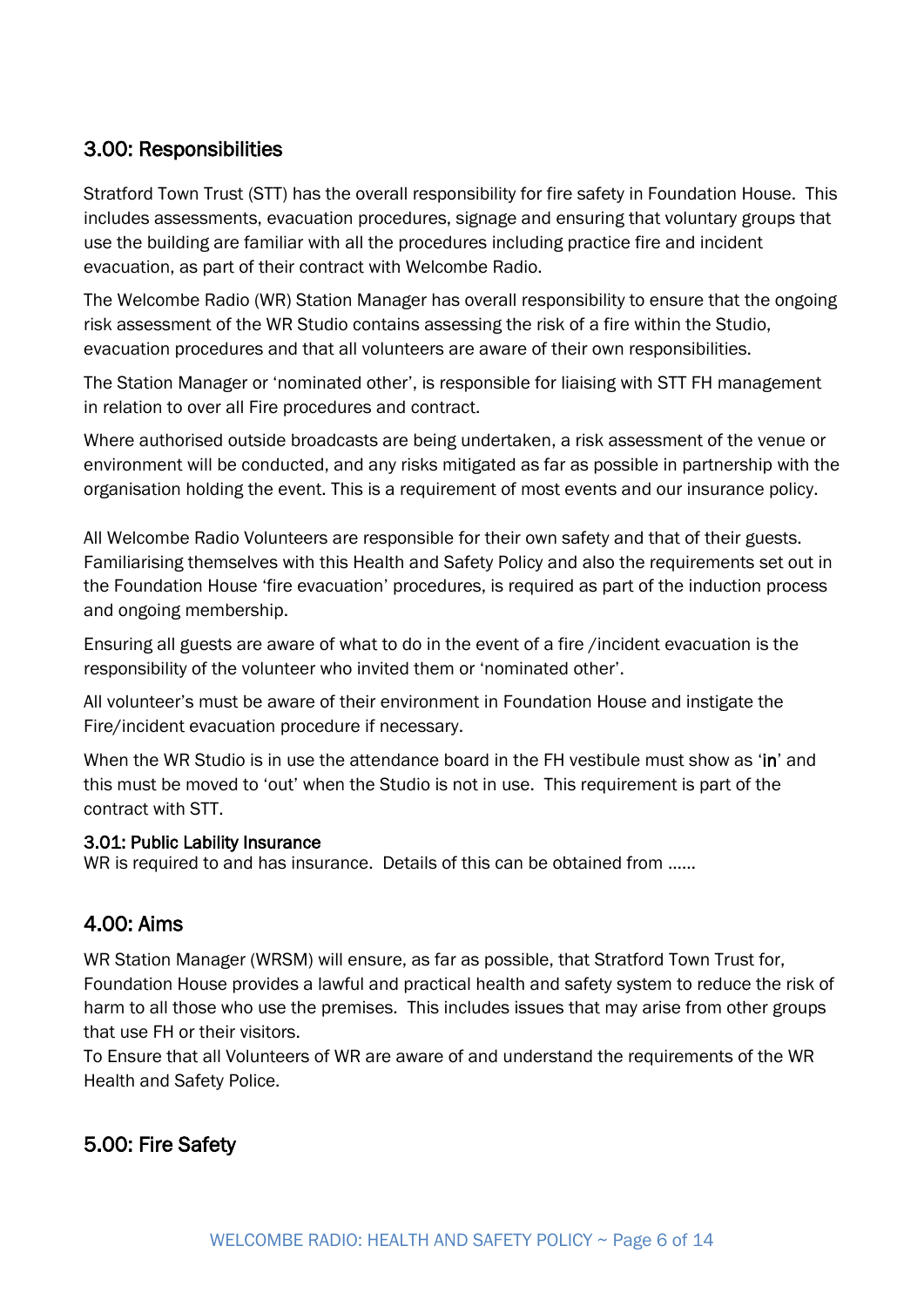# 3.00: Responsibilities

Stratford Town Trust (STT) has the overall responsibility for fire safety in Foundation House. This includes assessments, evacuation procedures, signage and ensuring that voluntary groups that use the building are familiar with all the procedures including practice fire and incident evacuation, as part of their contract with Welcombe Radio.

The Welcombe Radio (WR) Station Manager has overall responsibility to ensure that the ongoing risk assessment of the WR Studio contains assessing the risk of a fire within the Studio, evacuation procedures and that all volunteers are aware of their own responsibilities.

The Station Manager or 'nominated other', is responsible for liaising with STT FH management in relation to over all Fire procedures and contract.

Where authorised outside broadcasts are being undertaken, a risk assessment of the venue or environment will be conducted, and any risks mitigated as far as possible in partnership with the organisation holding the event. This is a requirement of most events and our insurance policy.

All Welcombe Radio Volunteers are responsible for their own safety and that of their guests. Familiarising themselves with this Health and Safety Policy and also the requirements set out in the Foundation House 'fire evacuation' procedures, is required as part of the induction process and ongoing membership.

Ensuring all guests are aware of what to do in the event of a fire /incident evacuation is the responsibility of the volunteer who invited them or 'nominated other'.

All volunteer's must be aware of their environment in Foundation House and instigate the Fire/incident evacuation procedure if necessary.

When the WR Studio is in use the attendance board in the FH vestibule must show as 'in' and this must be moved to 'out' when the Studio is not in use. This requirement is part of the contract with STT.

#### 3.01: Public Lability Insurance

WR is required to and has insurance. Details of this can be obtained from ......

# 4.00: Aims

WR Station Manager (WRSM) will ensure, as far as possible, that Stratford Town Trust for, Foundation House provides a lawful and practical health and safety system to reduce the risk of harm to all those who use the premises. This includes issues that may arise from other groups that use FH or their visitors.

To Ensure that all Volunteers of WR are aware of and understand the requirements of the WR Health and Safety Police.

# 5.00: Fire Safety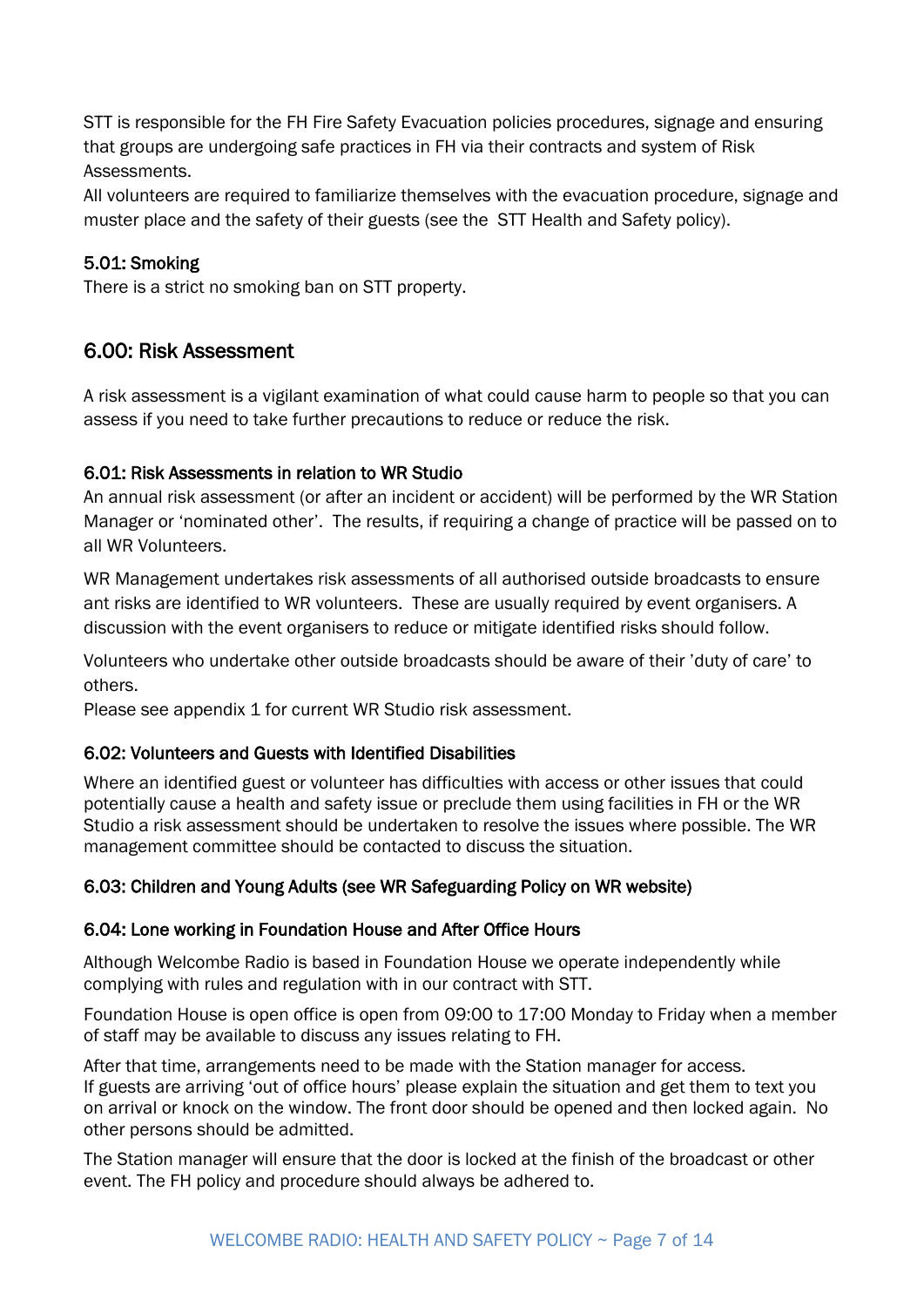STT is responsible for the FH Fire Safety Evacuation policies procedures, signage and ensuring that groups are undergoing safe practices in FH via their contracts and system of Risk Assessments.

All volunteers are required to familiarize themselves with the evacuation procedure, signage and muster place and the safety of their guests (see the STT Health and Safety policy).

#### 5.01: Smoking

There is a strict no smoking ban on STT property.

# 6.00: Risk Assessment

A risk assessment is a vigilant examination of what could cause harm to people so that you can assess if you need to take further precautions to reduce or reduce the risk.

#### 6.01: Risk Assessments in relation to WR Studio

An annual risk assessment (or after an incident or accident) will be performed by the WR Station Manager or 'nominated other'. The results, if requiring a change of practice will be passed on to all WR Volunteers.

WR Management undertakes risk assessments of all authorised outside broadcasts to ensure ant risks are identified to WR volunteers. These are usually required by event organisers. A discussion with the event organisers to reduce or mitigate identified risks should follow.

Volunteers who undertake other outside broadcasts should be aware of their 'duty of care' to others.

Please see appendix 1 for current WR Studio risk assessment.

#### 6.02: Volunteers and Guests with Identified Disabilities

Where an identified guest or volunteer has difficulties with access or other issues that could potentially cause a health and safety issue or preclude them using facilities in FH or the WR Studio a risk assessment should be undertaken to resolve the issues where possible. The WR management committee should be contacted to discuss the situation.

#### 6.03: Children and Young Adults (see WR Safeguarding Policy on WR website)

#### 6.04: Lone working in Foundation House and After Office Hours

Although Welcombe Radio is based in Foundation House we operate independently while complying with rules and regulation with in our contract with STT.

Foundation House is open office is open from 09:00 to 17:00 Monday to Friday when a member of staff may be available to discuss any issues relating to FH.

After that time, arrangements need to be made with the Station manager for access. If guests are arriving 'out of office hours' please explain the situation and get them to text you on arrival or knock on the window. The front door should be opened and then locked again. No other persons should be admitted.

The Station manager will ensure that the door is locked at the finish of the broadcast or other event. The FH policy and procedure should always be adhered to.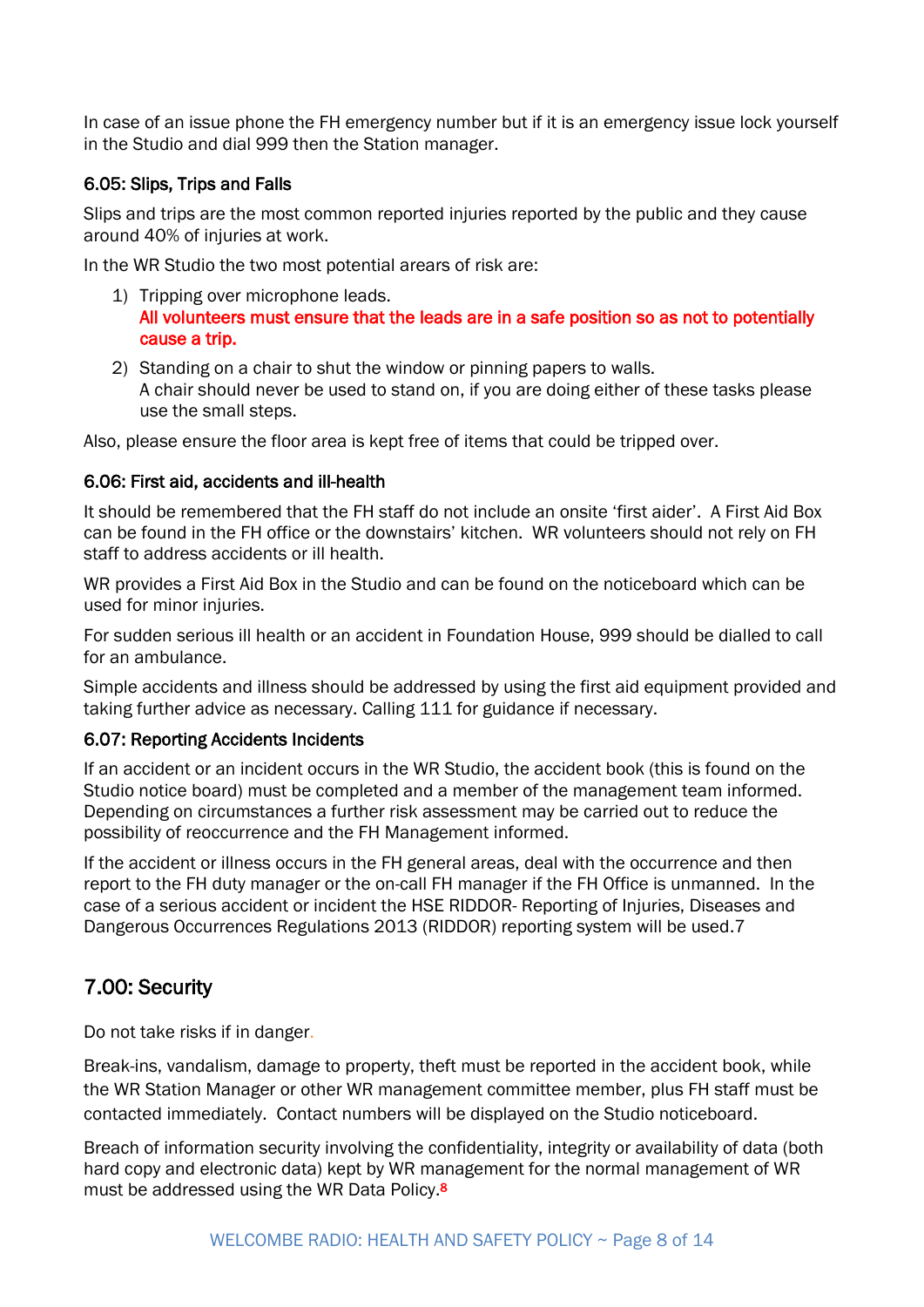In case of an issue phone the FH emergency number but if it is an emergency issue lock yourself in the Studio and dial 999 then the Station manager.

#### 6.05: Slips, Trips and Falls

Slips and trips are the most common reported injuries reported by the public and they cause around 40% of injuries at work.

In the WR Studio the two most potential arears of risk are:

- 1) Tripping over microphone leads. All volunteers must ensure that the leads are in a safe position so as not to potentially cause a trip.
- 2) Standing on a chair to shut the window or pinning papers to walls. A chair should never be used to stand on, if you are doing either of these tasks please use the small steps.

Also, please ensure the floor area is kept free of items that could be tripped over.

#### 6.06: First aid, accidents and ill-health

It should be remembered that the FH staff do not include an onsite 'first aider'. A First Aid Box can be found in the FH office or the downstairs' kitchen. WR volunteers should not rely on FH staff to address accidents or ill health.

WR provides a First Aid Box in the Studio and can be found on the noticeboard which can be used for minor injuries.

For sudden serious ill health or an accident in Foundation House, 999 should be dialled to call for an ambulance.

Simple accidents and illness should be addressed by using the first aid equipment provided and taking further advice as necessary. Calling 111 for guidance if necessary.

#### 6.07: Reporting Accidents Incidents

If an accident or an incident occurs in the WR Studio, the accident book (this is found on the Studio notice board) must be completed and a member of the management team informed. Depending on circumstances a further risk assessment may be carried out to reduce the possibility of reoccurrence and the FH Management informed.

If the accident or illness occurs in the FH general areas, deal with the occurrence and then report to the FH duty manager or the on-call FH manager if the FH Office is unmanned. In the case of a serious accident or incident the HSE RIDDOR- Reporting of Injuries, Diseases and Dangerous Occurrences Regulations 2013 (RIDDOR) reporting system will be used.7

# 7.00: Security

Do not take risks if in danger.

Break-ins, vandalism, damage to property, theft must be reported in the accident book, while the WR Station Manager or other WR management committee member, plus FH staff must be contacted immediately. Contact numbers will be displayed on the Studio noticeboard.

Breach of information security involving the confidentiality, integrity or availability of data (both hard copy and electronic data) kept by WR management for the normal management of WR must be addressed using the WR Data Policy.<sup>8</sup>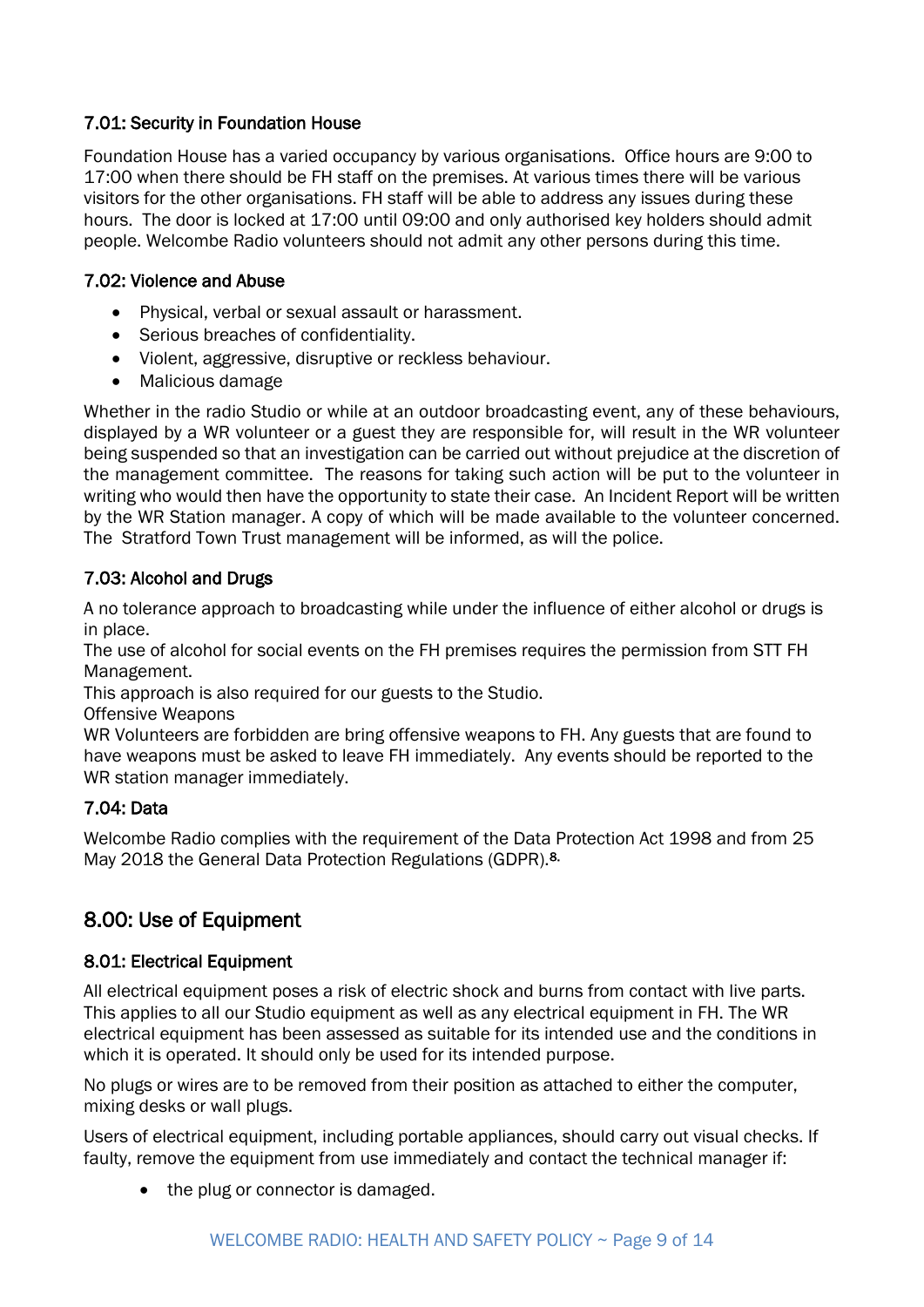#### 7.01: Security in Foundation House

Foundation House has a varied occupancy by various organisations. Office hours are 9:00 to 17:00 when there should be FH staff on the premises. At various times there will be various visitors for the other organisations. FH staff will be able to address any issues during these hours. The door is locked at 17:00 until 09:00 and only authorised key holders should admit people. Welcombe Radio volunteers should not admit any other persons during this time.

#### 7.02: Violence and Abuse

- Physical, verbal or sexual assault or harassment.
- Serious breaches of confidentiality.
- Violent, aggressive, disruptive or reckless behaviour.
- Malicious damage

Whether in the radio Studio or while at an outdoor broadcasting event, any of these behaviours, displayed by a WR volunteer or a guest they are responsible for, will result in the WR volunteer being suspended so that an investigation can be carried out without prejudice at the discretion of the management committee. The reasons for taking such action will be put to the volunteer in writing who would then have the opportunity to state their case. An Incident Report will be written by the WR Station manager. A copy of which will be made available to the volunteer concerned. The Stratford Town Trust management will be informed, as will the police.

#### 7.03: Alcohol and Drugs

A no tolerance approach to broadcasting while under the influence of either alcohol or drugs is in place.

The use of alcohol for social events on the FH premises requires the permission from STT FH Management.

This approach is also required for our guests to the Studio.

Offensive Weapons

WR Volunteers are forbidden are bring offensive weapons to FH. Any guests that are found to have weapons must be asked to leave FH immediately. Any events should be reported to the WR station manager immediately.

#### 7.04: Data

Welcombe Radio complies with the requirement of the Data Protection Act 1998 and from 25 May 2018 the General Data Protection Regulations (GDPR).<sup>8.</sup>

# 8.00: Use of Equipment

#### 8.01: Electrical Equipment

All electrical equipment poses a risk of electric shock and burns from contact with live parts. This applies to all our Studio equipment as well as any electrical equipment in FH. The WR electrical equipment has been assessed as suitable for its intended use and the conditions in which it is operated. It should only be used for its intended purpose.

No plugs or wires are to be removed from their position as attached to either the computer, mixing desks or wall plugs.

Users of electrical equipment, including portable appliances, should carry out visual checks. If faulty, remove the equipment from use immediately and contact the technical manager if:

• the plug or connector is damaged.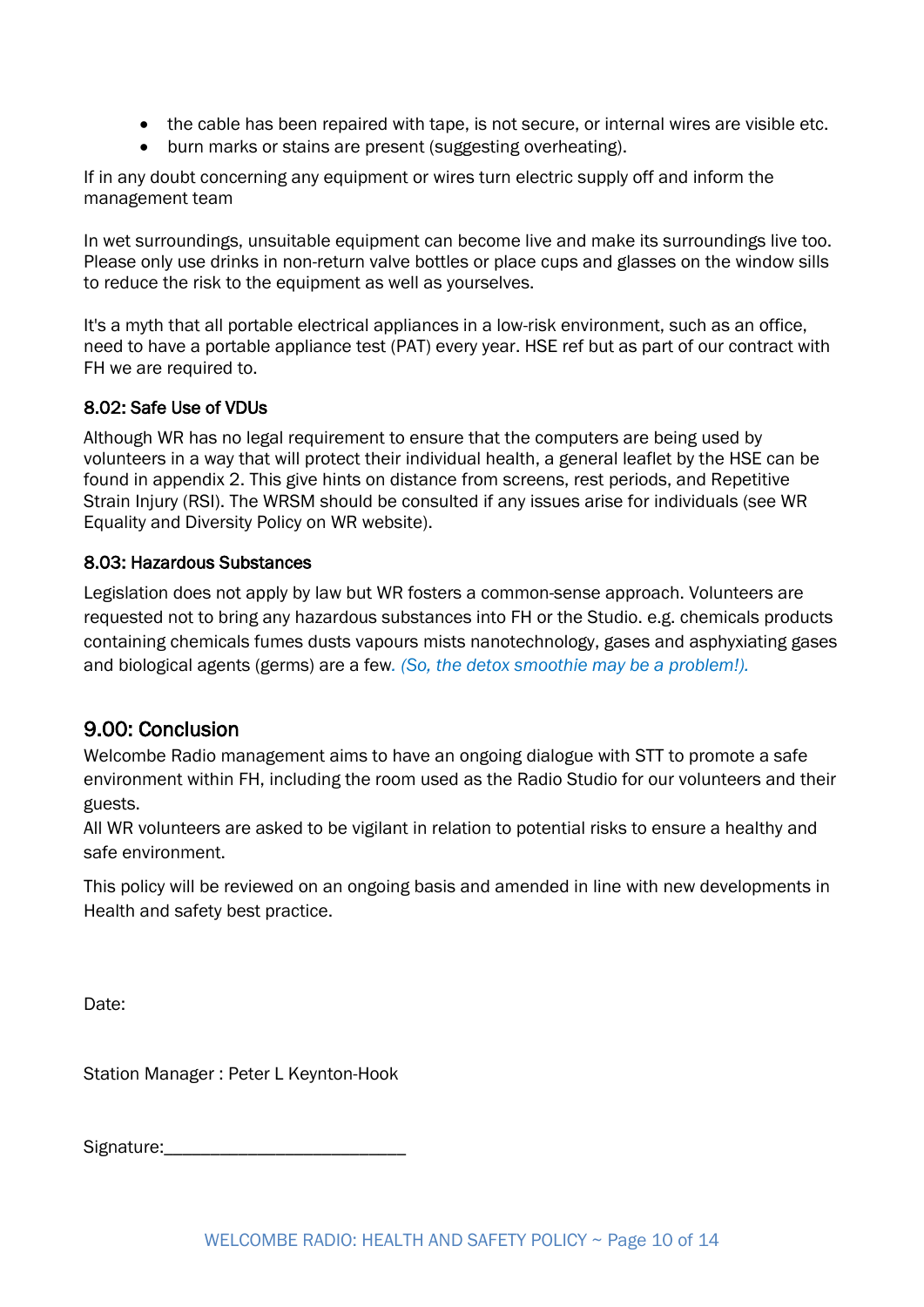- the cable has been repaired with tape, is not secure, or internal wires are visible etc.
- burn marks or stains are present (suggesting overheating).

If in any doubt concerning any equipment or wires turn electric supply off and inform the management team

In wet surroundings, unsuitable equipment can become live and make its surroundings live too. Please only use drinks in non-return valve bottles or place cups and glasses on the window sills to reduce the risk to the equipment as well as yourselves.

It's a myth that all portable electrical appliances in a low-risk environment, such as an office, need to have a portable appliance test (PAT) every year. HSE ref but as part of our contract with FH we are required to.

#### 8.02: Safe Use of VDUs

Although WR has no legal requirement to ensure that the computers are being used by volunteers in a way that will protect their individual health, a general leaflet by the HSE can be found in appendix 2. This give hints on distance from screens, rest periods, and Repetitive Strain Injury (RSI). The WRSM should be consulted if any issues arise for individuals (see WR Equality and Diversity Policy on WR website).

#### 8.03: Hazardous Substances

Legislation does not apply by law but WR fosters a common-sense approach. Volunteers are requested not to bring any hazardous substances into FH or the Studio. e.g. chemicals products containing chemicals fumes dusts vapours mists nanotechnology, gases and asphyxiating gases and biological agents (germs) are a few*. (So, the detox smoothie may be a problem!).*

#### 9.00: Conclusion

Welcombe Radio management aims to have an ongoing dialogue with STT to promote a safe environment within FH, including the room used as the Radio Studio for our volunteers and their guests.

All WR volunteers are asked to be vigilant in relation to potential risks to ensure a healthy and safe environment.

This policy will be reviewed on an ongoing basis and amended in line with new developments in Health and safety best practice.

Date:

Station Manager : Peter L Keynton-Hook

Signature: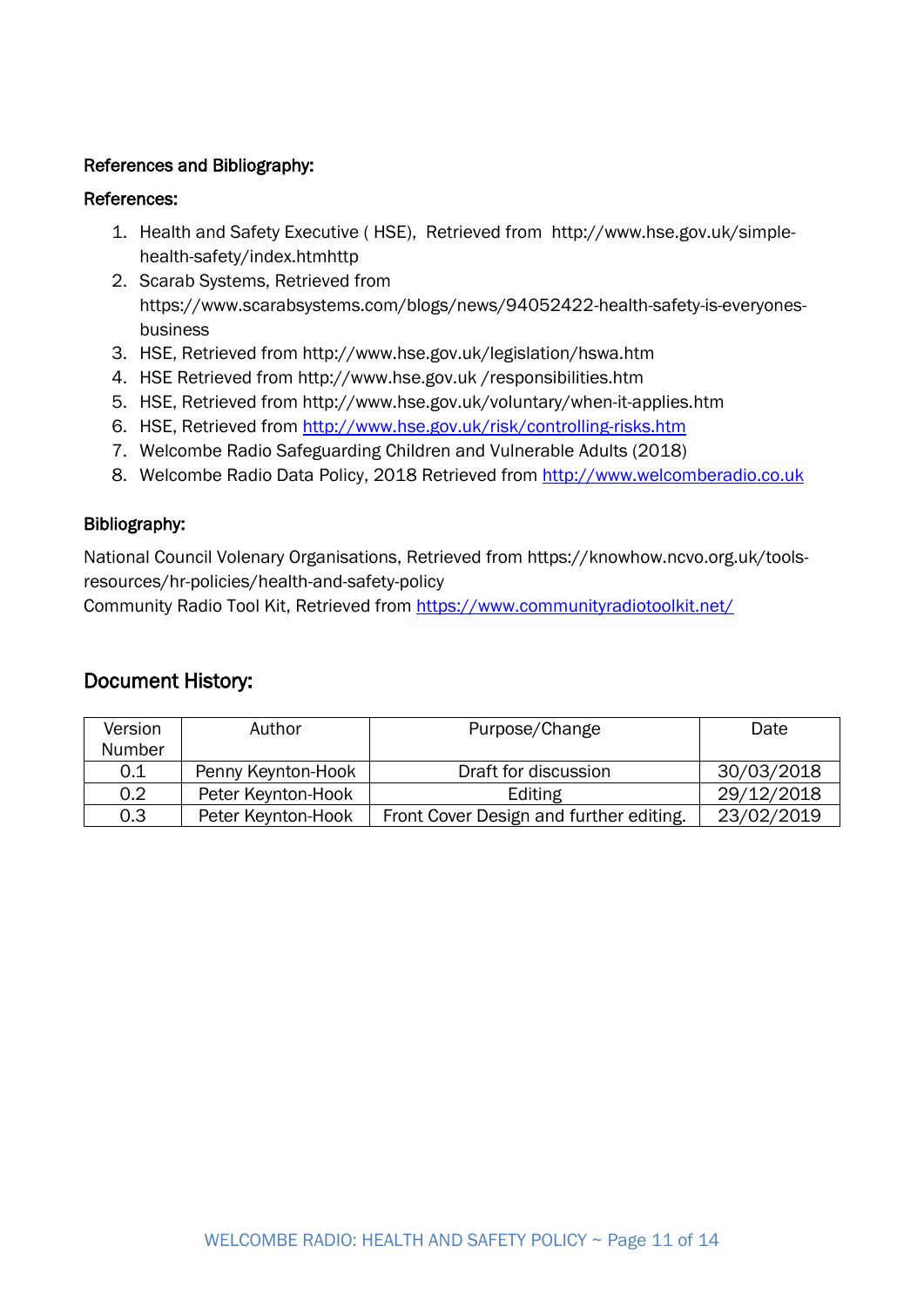#### References and Bibliography:

#### References:

- 1. Health and Safety Executive ( HSE), Retrieved from http://www.hse.gov.uk/simplehealth-safety/index.htmhttp
- 2. Scarab Systems, Retrieved from https://www.scarabsystems.com/blogs/news/94052422-health-safety-is-everyonesbusiness
- 3. HSE, Retrieved from http://www.hse.gov.uk/legislation/hswa.htm
- 4. HSE Retrieved from http://www.hse.gov.uk /responsibilities.htm
- 5. HSE, Retrieved from http://www.hse.gov.uk/voluntary/when-it-applies.htm
- 6. HSE, Retrieved from<http://www.hse.gov.uk/risk/controlling-risks.htm>
- 7. Welcombe Radio Safeguarding Children and Vulnerable Adults (2018)
- 8. Welcombe Radio Data Policy, 2018 Retrieved from [http://www.welcomberadio.co.uk](http://www.welcomberadio.co.uk/)

#### Bibliography:

National Council Volenary Organisations, Retrieved from https://knowhow.ncvo.org.uk/toolsresources/hr-policies/health-and-safety-policy

Community Radio Tool Kit, Retrieved from<https://www.communityradiotoolkit.net/>

## Document History:

| Version | Author             | Purpose/Change                          | Date       |
|---------|--------------------|-----------------------------------------|------------|
| Number  |                    |                                         |            |
| 0.1     | Penny Keynton-Hook | Draft for discussion                    | 30/03/2018 |
| 0.2     | Peter Keynton-Hook | <b>Editing</b>                          | 29/12/2018 |
| 0.3     | Peter Keynton-Hook | Front Cover Design and further editing. | 23/02/2019 |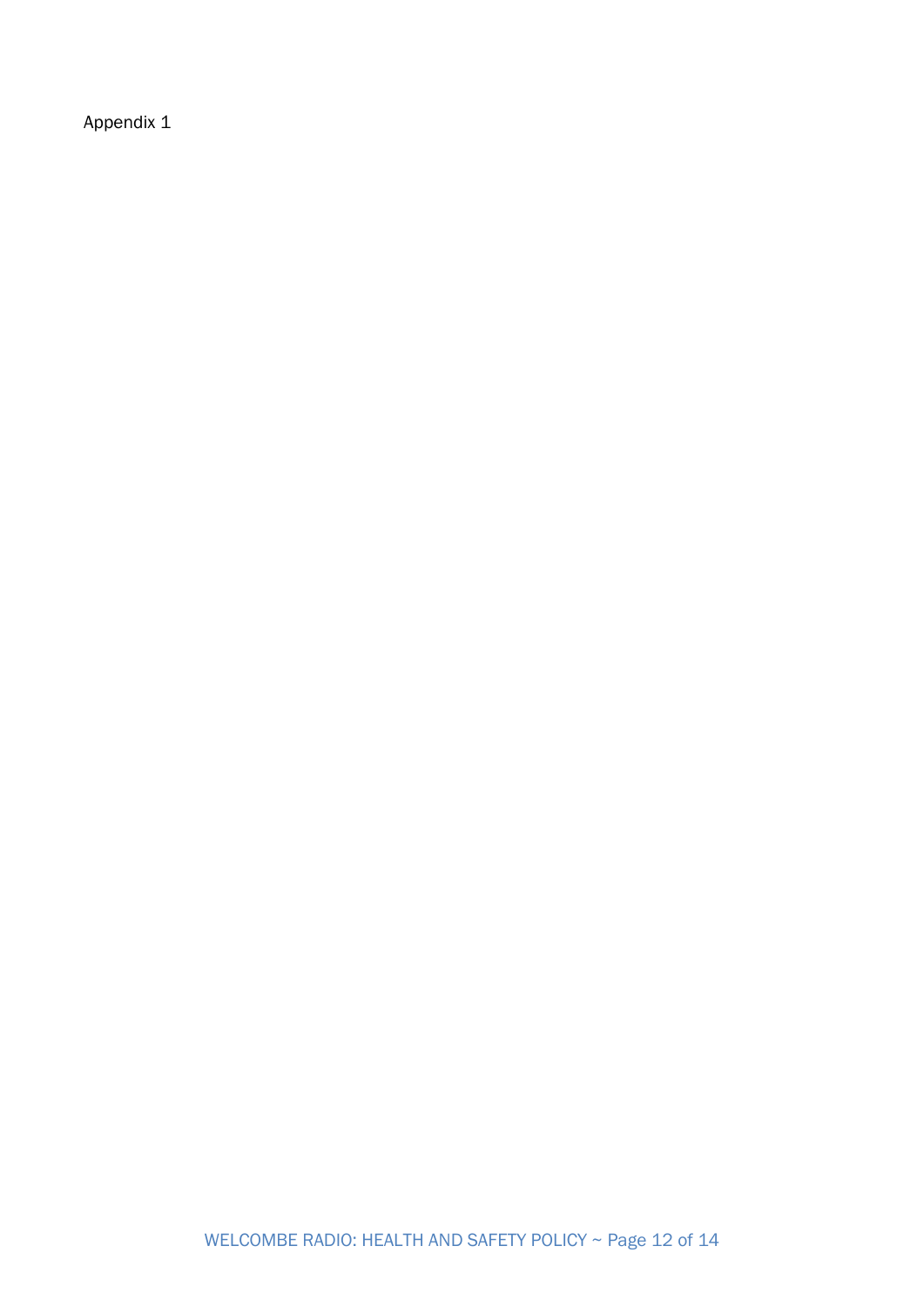Appendix 1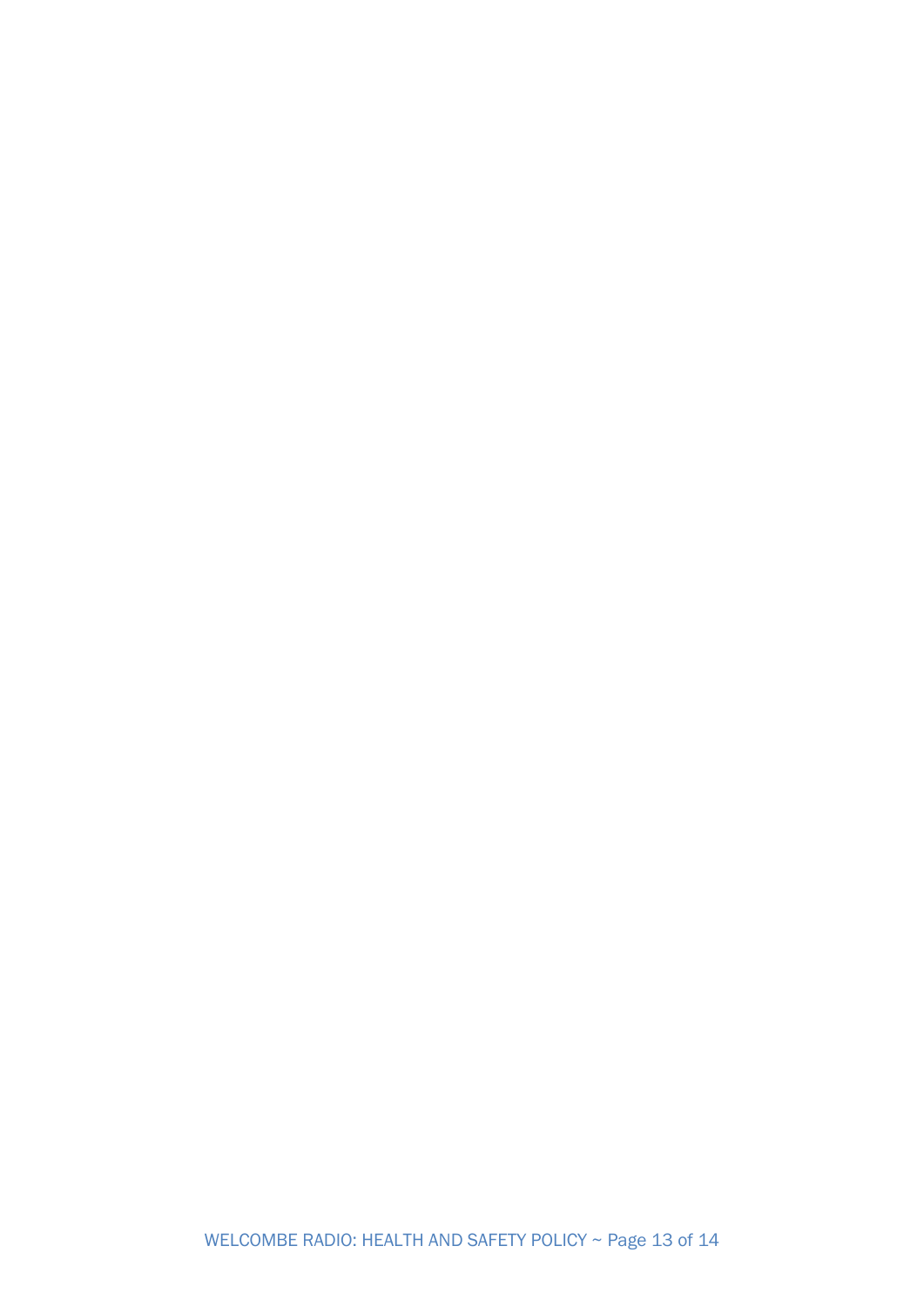WELCOMBE RADIO: HEALTH AND SAFETY POLICY ~ Page 13 of 14